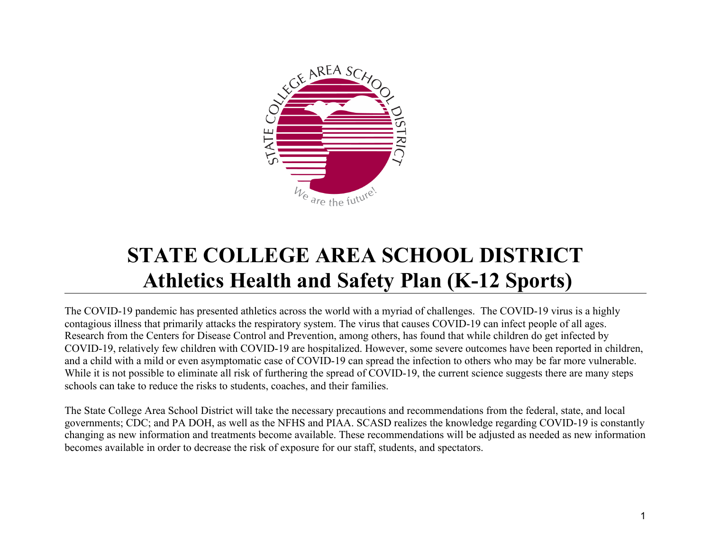

# **STATE COLLEGE AREA SCHOOL DISTRICT Athletics Health and Safety Plan (K-12 Sports)**

The COVID-19 pandemic has presented athletics across the world with a myriad of challenges. The COVID-19 virus is a highly contagious illness that primarily attacks the respiratory system. The virus that causes COVID-19 can infect people of all ages. Research from the Centers for Disease Control and Prevention, among others, has found that while children do get infected by COVID-19, relatively few children with COVID-19 are hospitalized. However, some severe outcomes have been reported in children, and a child with a mild or even asymptomatic case of COVID-19 can spread the infection to others who may be far more vulnerable. While it is not possible to eliminate all risk of furthering the spread of COVID-19, the current science suggests there are many steps schools can take to reduce the risks to students, coaches, and their families.

The State College Area School District will take the necessary precautions and recommendations from the federal, state, and local governments; CDC; and PA DOH, as well as the NFHS and PIAA. SCASD realizes the knowledge regarding COVID-19 is constantly changing as new information and treatments become available. These recommendations will be adjusted as needed as new information becomes available in order to decrease the risk of exposure for our staff, students, and spectators.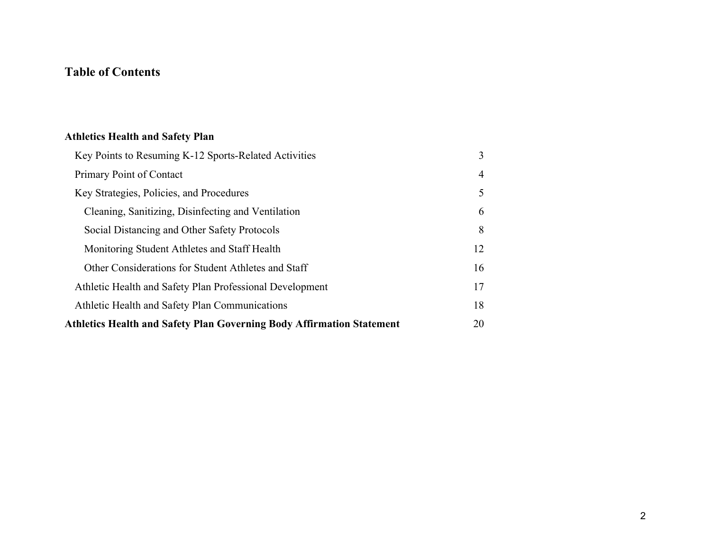# **Table of Contents**

# **[Athletics Health and Safety Plan](#page-2-0)**

| Key Points to Resuming K-12 Sports-Related Activities                        | 3  |
|------------------------------------------------------------------------------|----|
| Primary Point of Contact                                                     | 4  |
| Key Strategies, Policies, and Procedures                                     | 5  |
| Cleaning, Sanitizing, Disinfecting and Ventilation                           | 6  |
| Social Distancing and Other Safety Protocols                                 | 8  |
| Monitoring Student Athletes and Staff Health                                 | 12 |
| Other Considerations for Student Athletes and Staff                          | 16 |
| Athletic Health and Safety Plan Professional Development                     | 17 |
| Athletic Health and Safety Plan Communications                               | 18 |
| <b>Athletics Health and Safety Plan Governing Body Affirmation Statement</b> | 20 |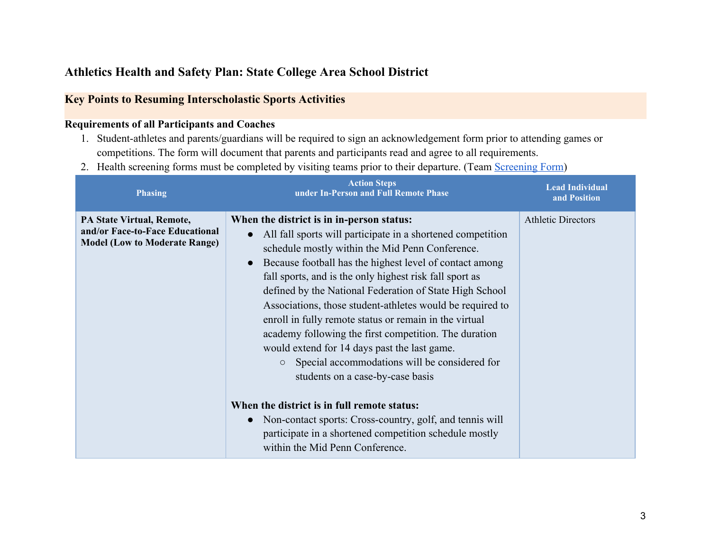## <span id="page-2-0"></span>**Athletics Health and Safety Plan: State College Area School District**

### <span id="page-2-1"></span>**Key Points to Resuming Interscholastic Sports Activities**

#### **Requirements of all Participants and Coaches**

- 1. Student-athletes and parents/guardians will be required to sign an acknowledgement form prior to attending games or competitions. The form will document that parents and participants read and agree to all requirements.
- 2. Health screening forms must be completed by visiting teams prior to their departure. (Team [Screening Form\)](https://docs.google.com/forms/d/e/1FAIpQLSerxYXx71b-DpRtNkOWfNCEz371wPpKYBHpqGiLpcH6qYup7w/viewform)

| <b>Phasing</b>                                                                                       | <b>Action Steps</b><br>under In-Person and Full Remote Phase                                                                                                                                                                                                                                                                                                                                                                                                                                                                                                                                                                                                        | <b>Lead Individual</b><br>and Position |
|------------------------------------------------------------------------------------------------------|---------------------------------------------------------------------------------------------------------------------------------------------------------------------------------------------------------------------------------------------------------------------------------------------------------------------------------------------------------------------------------------------------------------------------------------------------------------------------------------------------------------------------------------------------------------------------------------------------------------------------------------------------------------------|----------------------------------------|
| PA State Virtual, Remote,<br>and/or Face-to-Face Educational<br><b>Model (Low to Moderate Range)</b> | When the district is in in-person status:<br>All fall sports will participate in a shortened competition<br>schedule mostly within the Mid Penn Conference.<br>Because football has the highest level of contact among<br>fall sports, and is the only highest risk fall sport as<br>defined by the National Federation of State High School<br>Associations, those student-athletes would be required to<br>enroll in fully remote status or remain in the virtual<br>academy following the first competition. The duration<br>would extend for 14 days past the last game.<br>• Special accommodations will be considered for<br>students on a case-by-case basis | <b>Athletic Directors</b>              |
|                                                                                                      | When the district is in full remote status:<br>Non-contact sports: Cross-country, golf, and tennis will<br>participate in a shortened competition schedule mostly<br>within the Mid Penn Conference.                                                                                                                                                                                                                                                                                                                                                                                                                                                                |                                        |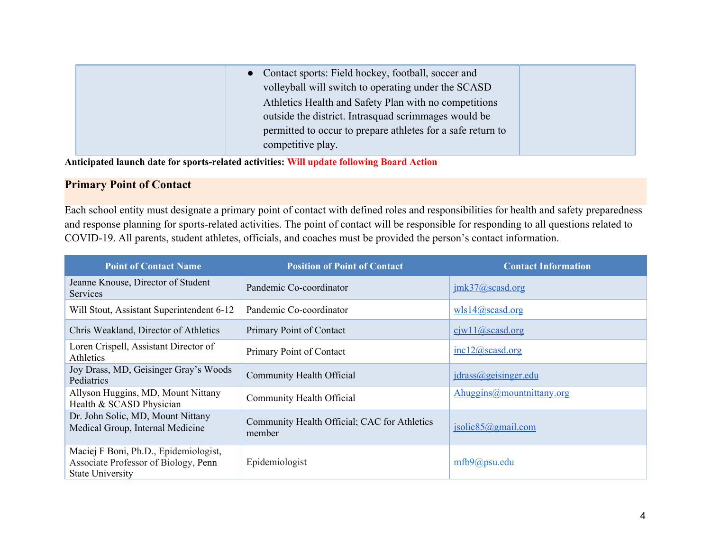| • Contact sports: Field hockey, football, soccer and<br>volleyball will switch to operating under the SCASD<br>Athletics Health and Safety Plan with no competitions<br>outside the district. Intrasquad scrimmages would be |  |
|------------------------------------------------------------------------------------------------------------------------------------------------------------------------------------------------------------------------------|--|
| permitted to occur to prepare athletes for a safe return to<br>competitive play.                                                                                                                                             |  |

**Anticipated launch date for sports-related activities: Will update following Board Action**

### <span id="page-3-0"></span>**Primary Point of Contact**

Each school entity must designate a primary point of contact with defined roles and responsibilities for health and safety preparedness and response planning for sports-related activities. The point of contact will be responsible for responding to all questions related to COVID-19. All parents, student athletes, officials, and coaches must be provided the person's contact information.

| <b>Point of Contact Name</b>                                                                             | <b>Position of Point of Contact</b>                    | <b>Contact Information</b>            |
|----------------------------------------------------------------------------------------------------------|--------------------------------------------------------|---------------------------------------|
| Jeanne Knouse, Director of Student<br><b>Services</b>                                                    | Pandemic Co-coordinator                                | imk37@scasd.org                       |
| Will Stout, Assistant Superintendent 6-12                                                                | Pandemic Co-coordinator                                | Wlsl4@scasd.org                       |
| Chris Weakland, Director of Athletics                                                                    | Primary Point of Contact                               | $c$ iw11@scasd.org                    |
| Loren Crispell, Assistant Director of<br>Athletics                                                       | Primary Point of Contact                               | inc12@scasd.org                       |
| Joy Drass, MD, Geisinger Gray's Woods<br>Pediatrics                                                      | Community Health Official                              | jdrass@geisinger.edu                  |
| Allyson Huggins, MD, Mount Nittany<br>Health & SCASD Physician                                           | Community Health Official                              | Ahuggins@mountnittany.org             |
| Dr. John Solic, MD, Mount Nittany<br>Medical Group, Internal Medicine                                    | Community Health Official; CAC for Athletics<br>member | $isolic 85 \textcircled{a}$ gmail.com |
| Maciej F Boni, Ph.D., Epidemiologist,<br>Associate Professor of Biology, Penn<br><b>State University</b> | Epidemiologist                                         | $mfb9(a)$ psu.edu                     |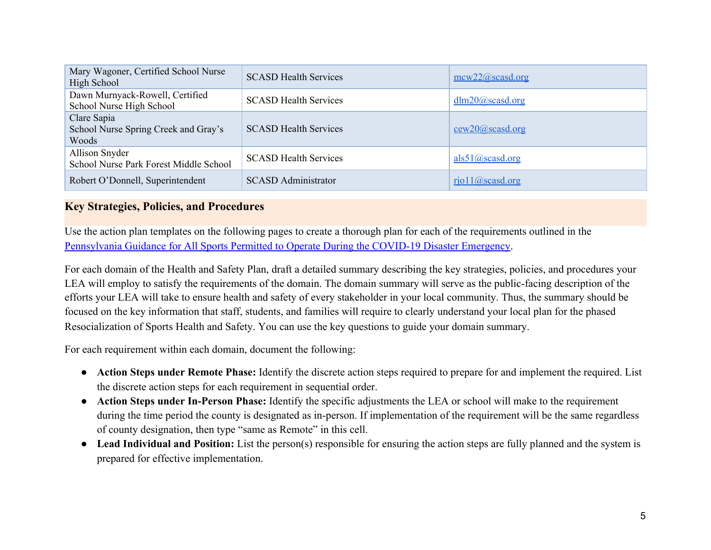| Mary Wagoner, Certified School Nurse<br>High School          | <b>SCASD Health Services</b> | $\frac{\text{mcw22}(a)\text{scasd.org}}{}$ |
|--------------------------------------------------------------|------------------------------|--------------------------------------------|
| Dawn Murnyack-Rowell, Certified<br>School Nurse High School  | <b>SCASD Health Services</b> | $d/m20$ ( <i>a</i> ) scasd.org             |
| Clare Sapia<br>School Nurse Spring Creek and Gray's<br>Woods | <b>SCASD Health Services</b> | $cew20$ ( $a$ ) scasd.org                  |
| Allison Snyder<br>School Nurse Park Forest Middle School     | <b>SCASD Health Services</b> | als51@scasd.org                            |
| Robert O'Donnell, Superintendent                             | <b>SCASD Administrator</b>   | $riol1$ ( <i>a</i> ) scasd.org             |

### <span id="page-4-0"></span>**Key Strategies, Policies, and Procedures**

Use the action plan templates on the following pages to create a thorough plan for each of the requirements outlined in the [Pennsylvania Guidance for All Sports Permitted to Operate During the COVID-19 Disaster Emergency](https://www.governor.pa.gov/covid-19/sports-guidance/).

For each domain of the Health and Safety Plan, draft a detailed summary describing the key strategies, policies, and procedures your LEA will employ to satisfy the requirements of the domain. The domain summary will serve as the public-facing description of the efforts your LEA will take to ensure health and safety of every stakeholder in your local community. Thus, the summary should be focused on the key information that staff, students, and families will require to clearly understand your local plan for the phased Resocialization of Sports Health and Safety. You can use the key questions to guide your domain summary.

For each requirement within each domain, document the following:

- **Action Steps under Remote Phase:** Identify the discrete action steps required to prepare for and implement the required. List the discrete action steps for each requirement in sequential order.
- **Action Steps under In-Person Phase:** Identify the specific adjustments the LEA or school will make to the requirement during the time period the county is designated as in-person. If implementation of the requirement will be the same regardless of county designation, then type "same as Remote" in this cell.
- **Lead Individual and Position:** List the person(s) responsible for ensuring the action steps are fully planned and the system is prepared for effective implementation.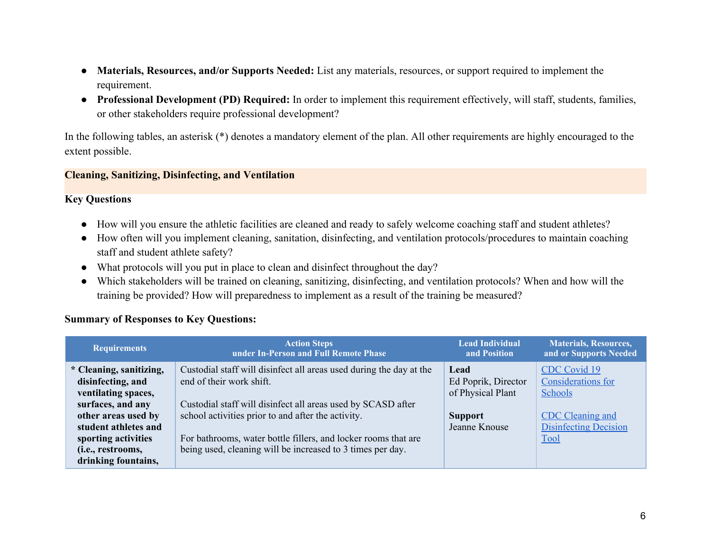- **Materials, Resources, and/or Supports Needed:** List any materials, resources, or support required to implement the requirement.
- **Professional Development (PD) Required:** In order to implement this requirement effectively, will staff, students, families, or other stakeholders require professional development?

In the following tables, an asterisk (\*) denotes a mandatory element of the plan. All other requirements are highly encouraged to the extent possible.

#### **Cleaning, Sanitizing, Disinfecting, and Ventilation**

#### **Key Questions**

- How will you ensure the athletic facilities are cleaned and ready to safely welcome coaching staff and student athletes?
- How often will you implement cleaning, sanitation, disinfecting, and ventilation protocols/procedures to maintain coaching staff and student athlete safety?
- What protocols will you put in place to clean and disinfect throughout the day?
- Which stakeholders will be trained on cleaning, sanitizing, disinfecting, and ventilation protocols? When and how will the training be provided? How will preparedness to implement as a result of the training be measured?

#### **Summary of Responses to Key Questions:**

| <b>Requirements</b>                                                                                                                     | <b>Action Steps</b><br>under In-Person and Full Remote Phase                                                                                                                                                          | <b>Lead Individual</b><br>and Position                                              | <b>Materials, Resources,</b><br>and or Supports Needed                                                   |
|-----------------------------------------------------------------------------------------------------------------------------------------|-----------------------------------------------------------------------------------------------------------------------------------------------------------------------------------------------------------------------|-------------------------------------------------------------------------------------|----------------------------------------------------------------------------------------------------------|
| * Cleaning, sanitizing,<br>disinfecting, and<br>ventilating spaces,<br>surfaces, and any<br>other areas used by<br>student athletes and | Custodial staff will disinfect all areas used during the day at the<br>end of their work shift.<br>Custodial staff will disinfect all areas used by SCASD after<br>school activities prior to and after the activity. | Lead<br>Ed Poprik, Director<br>of Physical Plant<br><b>Support</b><br>Jeanne Knouse | CDC Covid 19<br>Considerations for<br>Schools<br><b>CDC</b> Cleaning and<br><b>Disinfecting Decision</b> |
| sporting activities<br>( <i>i.e.</i> , restrooms,<br>drinking fountains,                                                                | For bathrooms, water bottle fillers, and locker rooms that are<br>being used, cleaning will be increased to 3 times per day.                                                                                          |                                                                                     | Tool                                                                                                     |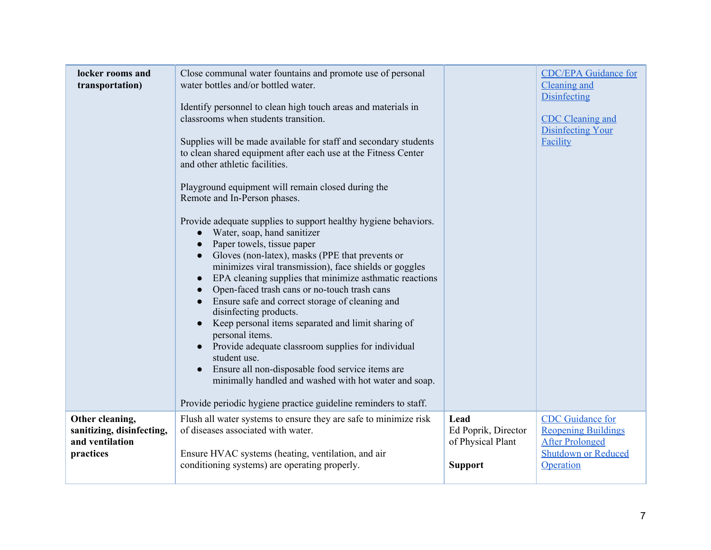| locker rooms and<br>transportation)                                          | Close communal water fountains and promote use of personal<br>water bottles and/or bottled water.<br>Identify personnel to clean high touch areas and materials in<br>classrooms when students transition.<br>Supplies will be made available for staff and secondary students<br>to clean shared equipment after each use at the Fitness Center<br>and other athletic facilities.<br>Playground equipment will remain closed during the<br>Remote and In-Person phases.<br>Provide adequate supplies to support healthy hygiene behaviors.<br>Water, soap, hand sanitizer<br>Paper towels, tissue paper<br>Gloves (non-latex), masks (PPE that prevents or<br>minimizes viral transmission), face shields or goggles<br>EPA cleaning supplies that minimize asthmatic reactions<br>Open-faced trash cans or no-touch trash cans<br>Ensure safe and correct storage of cleaning and<br>disinfecting products.<br>Keep personal items separated and limit sharing of<br>personal items.<br>Provide adequate classroom supplies for individual<br>student use.<br>Ensure all non-disposable food service items are<br>minimally handled and washed with hot water and soap. |                                                                    | <b>CDC/EPA Guidance for</b><br>Cleaning and<br><b>Disinfecting</b><br><b>CDC</b> Cleaning and<br><b>Disinfecting Your</b><br>Facility |
|------------------------------------------------------------------------------|---------------------------------------------------------------------------------------------------------------------------------------------------------------------------------------------------------------------------------------------------------------------------------------------------------------------------------------------------------------------------------------------------------------------------------------------------------------------------------------------------------------------------------------------------------------------------------------------------------------------------------------------------------------------------------------------------------------------------------------------------------------------------------------------------------------------------------------------------------------------------------------------------------------------------------------------------------------------------------------------------------------------------------------------------------------------------------------------------------------------------------------------------------------------------|--------------------------------------------------------------------|---------------------------------------------------------------------------------------------------------------------------------------|
|                                                                              | Provide periodic hygiene practice guideline reminders to staff.                                                                                                                                                                                                                                                                                                                                                                                                                                                                                                                                                                                                                                                                                                                                                                                                                                                                                                                                                                                                                                                                                                           |                                                                    |                                                                                                                                       |
| Other cleaning,<br>sanitizing, disinfecting,<br>and ventilation<br>practices | Flush all water systems to ensure they are safe to minimize risk<br>of diseases associated with water.<br>Ensure HVAC systems (heating, ventilation, and air<br>conditioning systems) are operating properly.                                                                                                                                                                                                                                                                                                                                                                                                                                                                                                                                                                                                                                                                                                                                                                                                                                                                                                                                                             | Lead<br>Ed Poprik, Director<br>of Physical Plant<br><b>Support</b> | <b>CDC</b> Guidance for<br><b>Reopening Buildings</b><br><b>After Prolonged</b><br><b>Shutdown or Reduced</b><br>Operation            |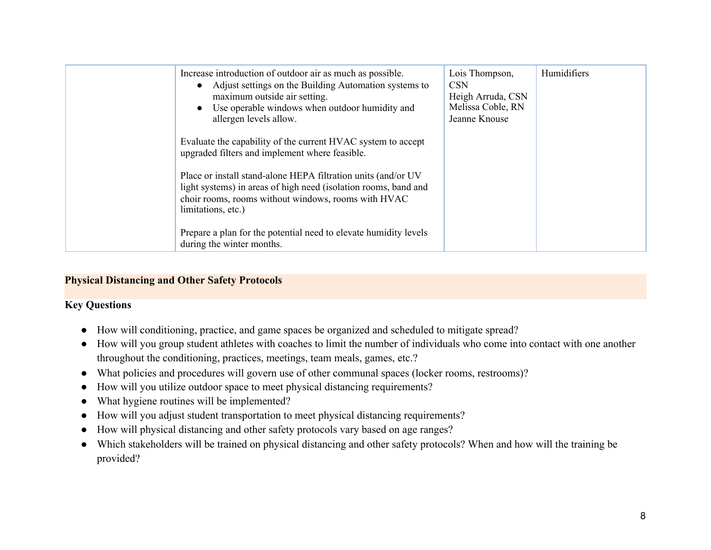| Increase introduction of outdoor air as much as possible.<br>• Adjust settings on the Building Automation systems to<br>maximum outside air setting.<br>Use operable windows when outdoor humidity and<br>$\bullet$<br>allergen levels allow. | Lois Thompson,<br><b>CSN</b><br>Heigh Arruda, CSN<br>Melissa Coble, RN<br>Jeanne Knouse | Humidifiers |
|-----------------------------------------------------------------------------------------------------------------------------------------------------------------------------------------------------------------------------------------------|-----------------------------------------------------------------------------------------|-------------|
| Evaluate the capability of the current HVAC system to accept<br>upgraded filters and implement where feasible.                                                                                                                                |                                                                                         |             |
| Place or install stand-alone HEPA filtration units (and/or UV<br>light systems) in areas of high need (isolation rooms, band and<br>choir rooms, rooms without windows, rooms with HVAC<br>limitations, etc.)                                 |                                                                                         |             |
| Prepare a plan for the potential need to elevate humidity levels<br>during the winter months.                                                                                                                                                 |                                                                                         |             |

#### <span id="page-7-0"></span>**Physical Distancing and Other Safety Protocols**

#### **Key Questions**

- How will conditioning, practice, and game spaces be organized and scheduled to mitigate spread?
- How will you group student athletes with coaches to limit the number of individuals who come into contact with one another throughout the conditioning, practices, meetings, team meals, games, etc.?
- What policies and procedures will govern use of other communal spaces (locker rooms, restrooms)?
- How will you utilize outdoor space to meet physical distancing requirements?
- What hygiene routines will be implemented?
- How will you adjust student transportation to meet physical distancing requirements?
- How will physical distancing and other safety protocols vary based on age ranges?
- Which stakeholders will be trained on physical distancing and other safety protocols? When and how will the training be provided?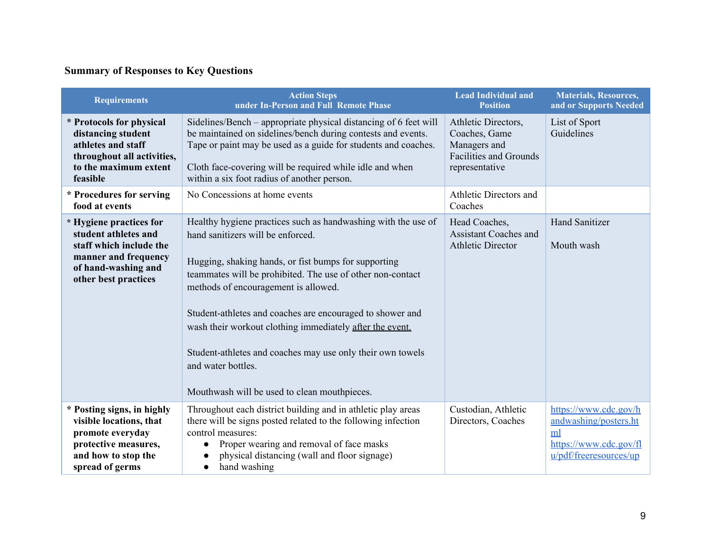# **Summary of Responses to Key Questions**

| <b>Requirements</b>                                                                                                                               | <b>Action Steps</b><br>under In-Person and Full Remote Phase                                                                                                                                                                                                                                                                                                                                                                                                                                                                  | <b>Lead Individual and</b><br><b>Position</b>                                                           | <b>Materials, Resources,</b><br>and or Supports Needed                                                   |
|---------------------------------------------------------------------------------------------------------------------------------------------------|-------------------------------------------------------------------------------------------------------------------------------------------------------------------------------------------------------------------------------------------------------------------------------------------------------------------------------------------------------------------------------------------------------------------------------------------------------------------------------------------------------------------------------|---------------------------------------------------------------------------------------------------------|----------------------------------------------------------------------------------------------------------|
| * Protocols for physical<br>distancing student<br>athletes and staff<br>throughout all activities,<br>to the maximum extent<br>feasible           | Sidelines/Bench – appropriate physical distancing of 6 feet will<br>be maintained on sidelines/bench during contests and events.<br>Tape or paint may be used as a guide for students and coaches.<br>Cloth face-covering will be required while idle and when<br>within a six foot radius of another person.                                                                                                                                                                                                                 | Athletic Directors,<br>Coaches, Game<br>Managers and<br><b>Facilities and Grounds</b><br>representative | List of Sport<br>Guidelines                                                                              |
| * Procedures for serving<br>food at events                                                                                                        | No Concessions at home events                                                                                                                                                                                                                                                                                                                                                                                                                                                                                                 | Athletic Directors and<br>Coaches                                                                       |                                                                                                          |
| * Hygiene practices for<br>student athletes and<br>staff which include the<br>manner and frequency<br>of hand-washing and<br>other best practices | Healthy hygiene practices such as handwashing with the use of<br>hand sanitizers will be enforced.<br>Hugging, shaking hands, or fist bumps for supporting<br>teammates will be prohibited. The use of other non-contact<br>methods of encouragement is allowed.<br>Student-athletes and coaches are encouraged to shower and<br>wash their workout clothing immediately after the event.<br>Student-athletes and coaches may use only their own towels<br>and water bottles.<br>Mouthwash will be used to clean mouthpieces. | Head Coaches,<br><b>Assistant Coaches and</b><br><b>Athletic Director</b>                               | <b>Hand Sanitizer</b><br>Mouth wash                                                                      |
| * Posting signs, in highly<br>visible locations, that<br>promote everyday<br>protective measures,<br>and how to stop the<br>spread of germs       | Throughout each district building and in athletic play areas<br>there will be signs posted related to the following infection<br>control measures:<br>Proper wearing and removal of face masks<br>$\bullet$<br>physical distancing (wall and floor signage)<br>$\bullet$<br>hand washing<br>$\bullet$                                                                                                                                                                                                                         | Custodian, Athletic<br>Directors, Coaches                                                               | https://www.cdc.gov/h<br>andwashing/posters.ht<br>ml<br>https://www.cdc.gov/fl<br>u/pdf/freeresources/up |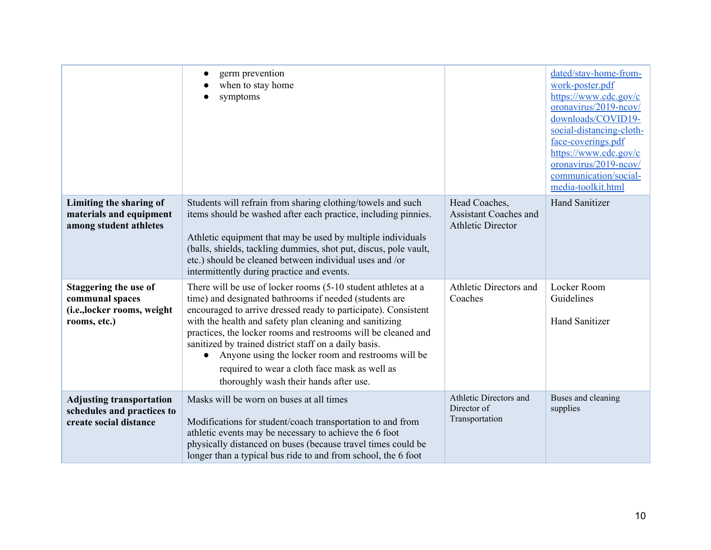|                                                                                                | germ prevention<br>$\bullet$<br>when to stay home<br>symptoms                                                                                                                                                                                                                                                                                                                                                                                                                                                                                |                                                                           | dated/stay-home-from-<br>work-poster.pdf<br>https://www.cdc.gov/c<br>oronavirus/2019-ncov/<br>downloads/COVID19-<br>social-distancing-cloth-<br>face-coverings.pdf<br>https://www.cdc.gov/c<br>oronavirus/2019-ncov/<br>communication/social-<br>media-toolkit.html |
|------------------------------------------------------------------------------------------------|----------------------------------------------------------------------------------------------------------------------------------------------------------------------------------------------------------------------------------------------------------------------------------------------------------------------------------------------------------------------------------------------------------------------------------------------------------------------------------------------------------------------------------------------|---------------------------------------------------------------------------|---------------------------------------------------------------------------------------------------------------------------------------------------------------------------------------------------------------------------------------------------------------------|
| Limiting the sharing of<br>materials and equipment<br>among student athletes                   | Students will refrain from sharing clothing/towels and such<br>items should be washed after each practice, including pinnies.<br>Athletic equipment that may be used by multiple individuals<br>(balls, shields, tackling dummies, shot put, discus, pole vault,<br>etc.) should be cleaned between individual uses and /or<br>intermittently during practice and events.                                                                                                                                                                    | Head Coaches,<br><b>Assistant Coaches and</b><br><b>Athletic Director</b> | <b>Hand Sanitizer</b>                                                                                                                                                                                                                                               |
| <b>Staggering the use of</b><br>communal spaces<br>(i.e., locker rooms, weight<br>rooms, etc.) | There will be use of locker rooms (5-10 student athletes at a<br>time) and designated bathrooms if needed (students are<br>encouraged to arrive dressed ready to participate). Consistent<br>with the health and safety plan cleaning and sanitizing<br>practices, the locker rooms and restrooms will be cleaned and<br>sanitized by trained district staff on a daily basis.<br>Anyone using the locker room and restrooms will be<br>$\bullet$<br>required to wear a cloth face mask as well as<br>thoroughly wash their hands after use. | Athletic Directors and<br>Coaches                                         | Locker Room<br>Guidelines<br><b>Hand Sanitizer</b>                                                                                                                                                                                                                  |
| <b>Adjusting transportation</b><br>schedules and practices to<br>create social distance        | Masks will be worn on buses at all times<br>Modifications for student/coach transportation to and from<br>athletic events may be necessary to achieve the 6 foot<br>physically distanced on buses (because travel times could be<br>longer than a typical bus ride to and from school, the 6 foot                                                                                                                                                                                                                                            | Athletic Directors and<br>Director of<br>Transportation                   | Buses and cleaning<br>supplies                                                                                                                                                                                                                                      |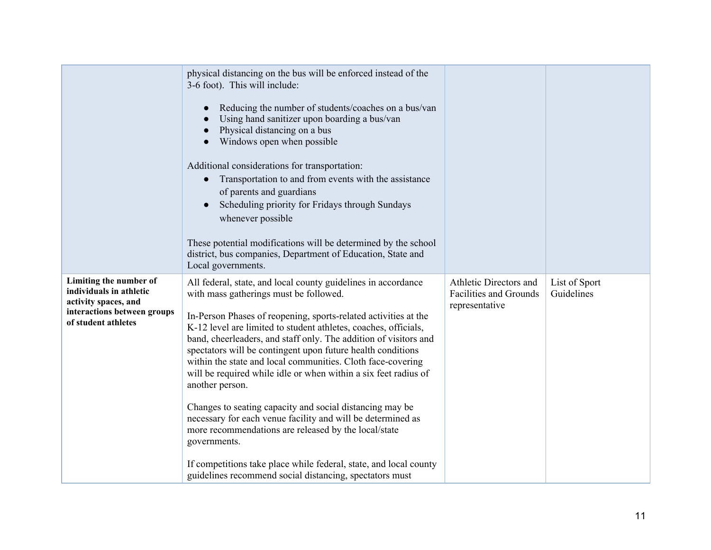|                                                                                                                                 | physical distancing on the bus will be enforced instead of the<br>3-6 foot). This will include:<br>Reducing the number of students/coaches on a bus/van<br>Using hand sanitizer upon boarding a bus/van<br>Physical distancing on a bus<br>Windows open when possible<br>Additional considerations for transportation:<br>Transportation to and from events with the assistance<br>$\bullet$<br>of parents and guardians<br>Scheduling priority for Fridays through Sundays<br>whenever possible<br>These potential modifications will be determined by the school<br>district, bus companies, Department of Education, State and<br>Local governments.                                                                                                                                                                                                                  |                                                                           |                             |
|---------------------------------------------------------------------------------------------------------------------------------|--------------------------------------------------------------------------------------------------------------------------------------------------------------------------------------------------------------------------------------------------------------------------------------------------------------------------------------------------------------------------------------------------------------------------------------------------------------------------------------------------------------------------------------------------------------------------------------------------------------------------------------------------------------------------------------------------------------------------------------------------------------------------------------------------------------------------------------------------------------------------|---------------------------------------------------------------------------|-----------------------------|
| Limiting the number of<br>individuals in athletic<br>activity spaces, and<br>interactions between groups<br>of student athletes | All federal, state, and local county guidelines in accordance<br>with mass gatherings must be followed.<br>In-Person Phases of reopening, sports-related activities at the<br>K-12 level are limited to student athletes, coaches, officials,<br>band, cheerleaders, and staff only. The addition of visitors and<br>spectators will be contingent upon future health conditions<br>within the state and local communities. Cloth face-covering<br>will be required while idle or when within a six feet radius of<br>another person.<br>Changes to seating capacity and social distancing may be<br>necessary for each venue facility and will be determined as<br>more recommendations are released by the local/state<br>governments.<br>If competitions take place while federal, state, and local county<br>guidelines recommend social distancing, spectators must | Athletic Directors and<br><b>Facilities and Grounds</b><br>representative | List of Sport<br>Guidelines |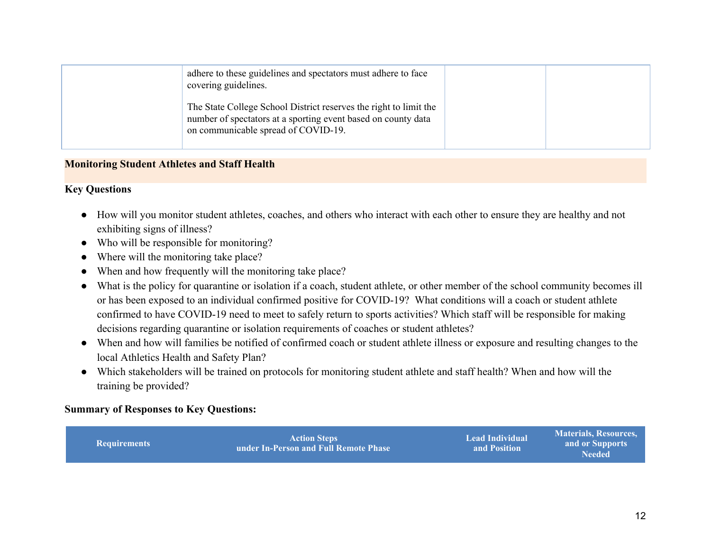| adhere to these guidelines and spectators must adhere to face<br>covering guidelines.                                                                                     |  |
|---------------------------------------------------------------------------------------------------------------------------------------------------------------------------|--|
| The State College School District reserves the right to limit the<br>number of spectators at a sporting event based on county data<br>on communicable spread of COVID-19. |  |

#### **Monitoring Student Athletes and Staff Health**

#### **Key Questions**

- How will you monitor student athletes, coaches, and others who interact with each other to ensure they are healthy and not exhibiting signs of illness?
- Who will be responsible for monitoring?
- Where will the monitoring take place?
- When and how frequently will the monitoring take place?
- What is the policy for quarantine or isolation if a coach, student athlete, or other member of the school community becomes ill or has been exposed to an individual confirmed positive for COVID-19? What conditions will a coach or student athlete confirmed to have COVID-19 need to meet to safely return to sports activities? Which staff will be responsible for making decisions regarding quarantine or isolation requirements of coaches or student athletes?
- When and how will families be notified of confirmed coach or student athlete illness or exposure and resulting changes to the local Athletics Health and Safety Plan?
- Which stakeholders will be trained on protocols for monitoring student athlete and staff health? When and how will the training be provided?

#### **Summary of Responses to Key Questions:**

| l Requirements | <b>Action Steps</b><br>under In-Person and Full Remote Phase | <b>Lead Individual</b><br>and Position | Materials, Resources,<br>and or Supports<br>Needed <b>N</b> |
|----------------|--------------------------------------------------------------|----------------------------------------|-------------------------------------------------------------|
|----------------|--------------------------------------------------------------|----------------------------------------|-------------------------------------------------------------|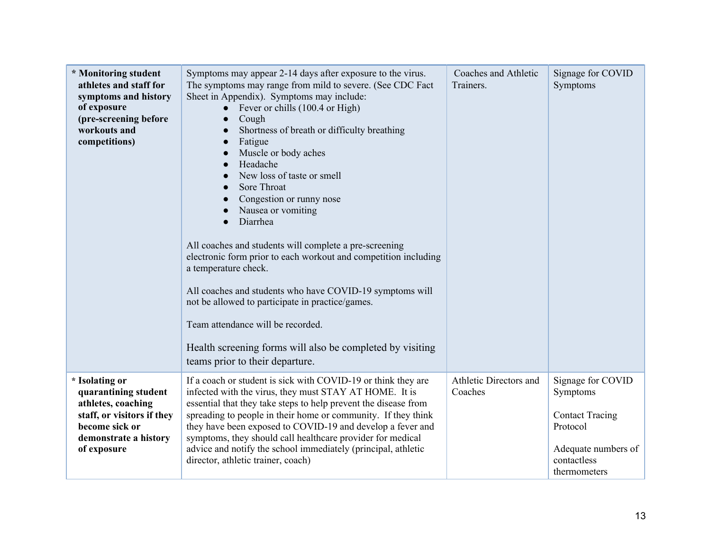| * Monitoring student<br>athletes and staff for<br>symptoms and history<br>of exposure<br>(pre-screening before<br>workouts and<br>competitions)      | Symptoms may appear 2-14 days after exposure to the virus.<br>The symptoms may range from mild to severe. (See CDC Fact<br>Sheet in Appendix). Symptoms may include:<br>Fever or chills (100.4 or High)<br>$\bullet$<br>Cough<br>$\bullet$<br>Shortness of breath or difficulty breathing<br>Fatigue<br>Muscle or body aches<br>Headache<br>New loss of taste or smell<br>Sore Throat<br>$\bullet$<br>Congestion or runny nose<br>Nausea or vomiting<br>Diarrhea<br>All coaches and students will complete a pre-screening<br>electronic form prior to each workout and competition including<br>a temperature check.<br>All coaches and students who have COVID-19 symptoms will<br>not be allowed to participate in practice/games.<br>Team attendance will be recorded.<br>Health screening forms will also be completed by visiting<br>teams prior to their departure. | Coaches and Athletic<br>Trainers. | Signage for COVID<br>Symptoms                                                                                             |
|------------------------------------------------------------------------------------------------------------------------------------------------------|----------------------------------------------------------------------------------------------------------------------------------------------------------------------------------------------------------------------------------------------------------------------------------------------------------------------------------------------------------------------------------------------------------------------------------------------------------------------------------------------------------------------------------------------------------------------------------------------------------------------------------------------------------------------------------------------------------------------------------------------------------------------------------------------------------------------------------------------------------------------------|-----------------------------------|---------------------------------------------------------------------------------------------------------------------------|
| * Isolating or<br>quarantining student<br>athletes, coaching<br>staff, or visitors if they<br>become sick or<br>demonstrate a history<br>of exposure | If a coach or student is sick with COVID-19 or think they are<br>infected with the virus, they must STAY AT HOME. It is<br>essential that they take steps to help prevent the disease from<br>spreading to people in their home or community. If they think<br>they have been exposed to COVID-19 and develop a fever and<br>symptoms, they should call healthcare provider for medical<br>advice and notify the school immediately (principal, athletic<br>director, athletic trainer, coach)                                                                                                                                                                                                                                                                                                                                                                             | Athletic Directors and<br>Coaches | Signage for COVID<br>Symptoms<br><b>Contact Tracing</b><br>Protocol<br>Adequate numbers of<br>contactless<br>thermometers |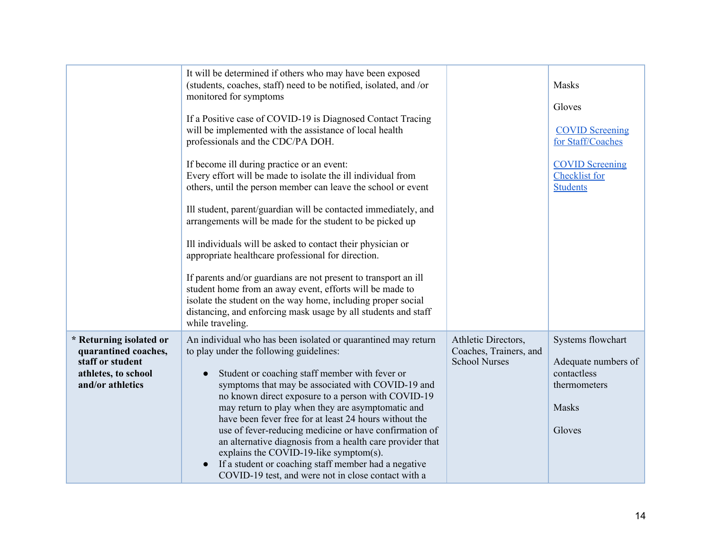|                                                                                                                | It will be determined if others who may have been exposed<br>(students, coaches, staff) need to be notified, isolated, and /or<br>monitored for symptoms<br>If a Positive case of COVID-19 is Diagnosed Contact Tracing<br>will be implemented with the assistance of local health<br>professionals and the CDC/PA DOH.<br>If become ill during practice or an event:<br>Every effort will be made to isolate the ill individual from<br>others, until the person member can leave the school or event<br>Ill student, parent/guardian will be contacted immediately, and<br>arrangements will be made for the student to be picked up<br>Ill individuals will be asked to contact their physician or<br>appropriate healthcare professional for direction.<br>If parents and/or guardians are not present to transport an ill<br>student home from an away event, efforts will be made to<br>isolate the student on the way home, including proper social<br>distancing, and enforcing mask usage by all students and staff<br>while traveling. |                                                                       | Masks<br>Gloves<br><b>COVID Screening</b><br>for Staff/Coaches<br><b>COVID Screening</b><br>Checklist for<br><b>Students</b> |
|----------------------------------------------------------------------------------------------------------------|--------------------------------------------------------------------------------------------------------------------------------------------------------------------------------------------------------------------------------------------------------------------------------------------------------------------------------------------------------------------------------------------------------------------------------------------------------------------------------------------------------------------------------------------------------------------------------------------------------------------------------------------------------------------------------------------------------------------------------------------------------------------------------------------------------------------------------------------------------------------------------------------------------------------------------------------------------------------------------------------------------------------------------------------------|-----------------------------------------------------------------------|------------------------------------------------------------------------------------------------------------------------------|
| * Returning isolated or<br>quarantined coaches,<br>staff or student<br>athletes, to school<br>and/or athletics | An individual who has been isolated or quarantined may return<br>to play under the following guidelines:<br>Student or coaching staff member with fever or<br>symptoms that may be associated with COVID-19 and<br>no known direct exposure to a person with COVID-19<br>may return to play when they are asymptomatic and<br>have been fever free for at least 24 hours without the<br>use of fever-reducing medicine or have confirmation of<br>an alternative diagnosis from a health care provider that<br>explains the COVID-19-like symptom(s).<br>If a student or coaching staff member had a negative<br>COVID-19 test, and were not in close contact with a                                                                                                                                                                                                                                                                                                                                                                             | Athletic Directors,<br>Coaches, Trainers, and<br><b>School Nurses</b> | Systems flowchart<br>Adequate numbers of<br>contactless<br>thermometers<br><b>Masks</b><br>Gloves                            |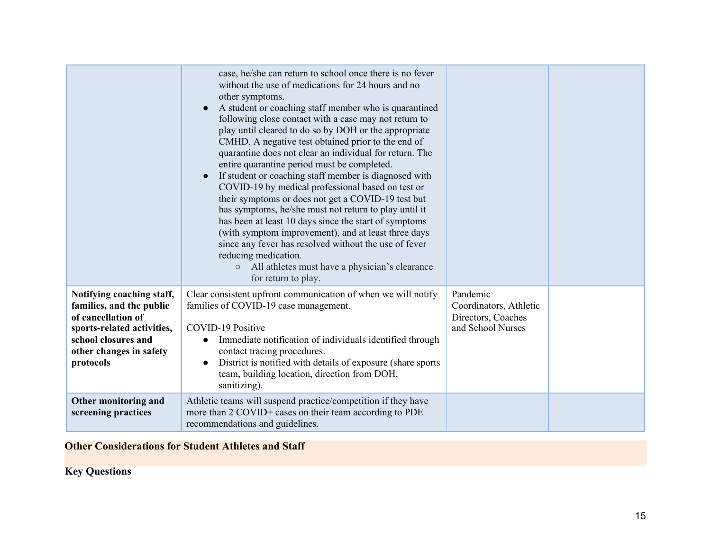|                                                                                                                                                                          | case, he/she can return to school once there is no fever<br>without the use of medications for 24 hours and no<br>other symptoms.<br>A student or coaching staff member who is quarantined<br>following close contact with a case may not return to<br>play until cleared to do so by DOH or the appropriate<br>CMHD. A negative test obtained prior to the end of<br>quarantine does not clear an individual for return. The<br>entire quarantine period must be completed.<br>If student or coaching staff member is diagnosed with<br>COVID-19 by medical professional based on test or<br>their symptoms or does not get a COVID-19 test but<br>has symptoms, he/she must not return to play until it<br>has been at least 10 days since the start of symptoms<br>(with symptom improvement), and at least three days<br>since any fever has resolved without the use of fever<br>reducing medication.<br>o All athletes must have a physician's clearance<br>for return to play. |                                                                               |  |
|--------------------------------------------------------------------------------------------------------------------------------------------------------------------------|---------------------------------------------------------------------------------------------------------------------------------------------------------------------------------------------------------------------------------------------------------------------------------------------------------------------------------------------------------------------------------------------------------------------------------------------------------------------------------------------------------------------------------------------------------------------------------------------------------------------------------------------------------------------------------------------------------------------------------------------------------------------------------------------------------------------------------------------------------------------------------------------------------------------------------------------------------------------------------------|-------------------------------------------------------------------------------|--|
| Notifying coaching staff,<br>families, and the public<br>of cancellation of<br>sports-related activities,<br>school closures and<br>other changes in safety<br>protocols | Clear consistent upfront communication of when we will notify<br>families of COVID-19 case management.<br>COVID-19 Positive<br>Immediate notification of individuals identified through<br>contact tracing procedures.<br>District is notified with details of exposure (share sports<br>team, building location, direction from DOH,<br>sanitizing).                                                                                                                                                                                                                                                                                                                                                                                                                                                                                                                                                                                                                                 | Pandemic<br>Coordinators, Athletic<br>Directors, Coaches<br>and School Nurses |  |
| Other monitoring and<br>screening practices                                                                                                                              | Athletic teams will suspend practice/competition if they have<br>more than 2 COVID+ cases on their team according to PDE<br>recommendations and guidelines.                                                                                                                                                                                                                                                                                                                                                                                                                                                                                                                                                                                                                                                                                                                                                                                                                           |                                                                               |  |

# <span id="page-14-0"></span>**Other Considerations for Student Athletes and Staff**

# **Key Questions**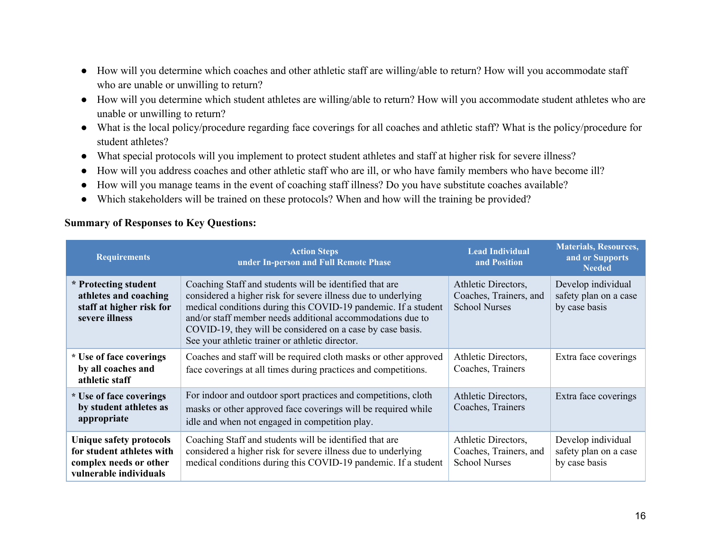- How will you determine which coaches and other athletic staff are willing/able to return? How will you accommodate staff who are unable or unwilling to return?
- How will you determine which student athletes are willing/able to return? How will you accommodate student athletes who are unable or unwilling to return?
- What is the local policy/procedure regarding face coverings for all coaches and athletic staff? What is the policy/procedure for student athletes?
- What special protocols will you implement to protect student athletes and staff at higher risk for severe illness?
- How will you address coaches and other athletic staff who are ill, or who have family members who have become ill?
- How will you manage teams in the event of coaching staff illness? Do you have substitute coaches available?
- **●** Which stakeholders will be trained on these protocols? When and how will the training be provided?

#### **Summary of Responses to Key Questions:**

| <b>Requirements</b>                                                                                      | <b>Action Steps</b><br>under In-person and Full Remote Phase                                                                                                                                                                                                                                                                                                              | <b>Lead Individual</b><br>and Position                                | <b>Materials, Resources,</b><br>and or Supports<br><b>Needed</b> |
|----------------------------------------------------------------------------------------------------------|---------------------------------------------------------------------------------------------------------------------------------------------------------------------------------------------------------------------------------------------------------------------------------------------------------------------------------------------------------------------------|-----------------------------------------------------------------------|------------------------------------------------------------------|
| * Protecting student<br>athletes and coaching<br>staff at higher risk for<br>severe illness              | Coaching Staff and students will be identified that are<br>considered a higher risk for severe illness due to underlying<br>medical conditions during this COVID-19 pandemic. If a student<br>and/or staff member needs additional accommodations due to<br>COVID-19, they will be considered on a case by case basis.<br>See your athletic trainer or athletic director. | Athletic Directors,<br>Coaches, Trainers, and<br><b>School Nurses</b> | Develop individual<br>safety plan on a case<br>by case basis     |
| * Use of face coverings<br>by all coaches and<br>athletic staff                                          | Coaches and staff will be required cloth masks or other approved<br>face coverings at all times during practices and competitions.                                                                                                                                                                                                                                        | Athletic Directors,<br>Coaches, Trainers                              | Extra face coverings                                             |
| * Use of face coverings<br>by student athletes as<br>appropriate                                         | For indoor and outdoor sport practices and competitions, cloth<br>masks or other approved face coverings will be required while<br>idle and when not engaged in competition play.                                                                                                                                                                                         | Athletic Directors,<br>Coaches, Trainers                              | Extra face coverings                                             |
| Unique safety protocols<br>for student athletes with<br>complex needs or other<br>vulnerable individuals | Coaching Staff and students will be identified that are<br>considered a higher risk for severe illness due to underlying<br>medical conditions during this COVID-19 pandemic. If a student                                                                                                                                                                                | Athletic Directors,<br>Coaches, Trainers, and<br><b>School Nurses</b> | Develop individual<br>safety plan on a case<br>by case basis     |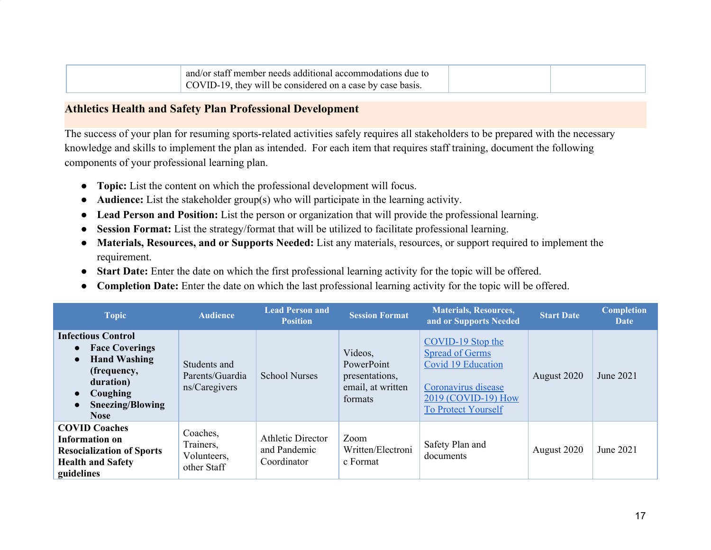| and/or staff member needs additional accommodations due to |  |
|------------------------------------------------------------|--|
| COVID-19, they will be considered on a case by case basis. |  |

#### <span id="page-16-0"></span>**Athletics Health and Safety Plan Professional Development**

The success of your plan for resuming sports-related activities safely requires all stakeholders to be prepared with the necessary knowledge and skills to implement the plan as intended. For each item that requires staff training, document the following components of your professional learning plan.

- **Topic:** List the content on which the professional development will focus.
- **Audience:** List the stakeholder group(s) who will participate in the learning activity.
- **Lead Person and Position:** List the person or organization that will provide the professional learning.
- **Session Format:** List the strategy/format that will be utilized to facilitate professional learning.
- **Materials, Resources, and or Supports Needed:** List any materials, resources, or support required to implement the requirement.
- **Start Date:** Enter the date on which the first professional learning activity for the topic will be offered.
- **Completion Date:** Enter the date on which the last professional learning activity for the topic will be offered.

| <b>Topic</b>                                                                                                                                                                                  | <b>Audience</b>                                     | <b>Lead Person and</b><br><b>Position</b>               | <b>Session Format</b>                                                   | <b>Materials, Resources,</b><br>and or Supports Needed                                                                                        | <b>Start Date</b> | <b>Completion</b><br><b>Date</b> |
|-----------------------------------------------------------------------------------------------------------------------------------------------------------------------------------------------|-----------------------------------------------------|---------------------------------------------------------|-------------------------------------------------------------------------|-----------------------------------------------------------------------------------------------------------------------------------------------|-------------------|----------------------------------|
| <b>Infectious Control</b><br>• Face Coverings<br><b>Hand Washing</b><br>$\bullet$<br>(frequency,<br>duration)<br>Coughing<br>$\bullet$<br><b>Sneezing/Blowing</b><br>$\bullet$<br><b>Nose</b> | Students and<br>Parents/Guardia<br>ns/Caregivers    | <b>School Nurses</b>                                    | Videos,<br>PowerPoint<br>presentations,<br>email, at written<br>formats | COVID-19 Stop the<br><b>Spread of Germs</b><br>Covid 19 Education<br>Coronavirus disease<br>2019 (COVID-19) How<br><b>To Protect Yourself</b> | August 2020       | June 2021                        |
| <b>COVID Coaches</b><br>Information on<br><b>Resocialization of Sports</b><br><b>Health and Safety</b><br>guidelines                                                                          | Coaches,<br>Trainers,<br>Volunteers,<br>other Staff | <b>Athletic Director</b><br>and Pandemic<br>Coordinator | Zoom<br>Written/Electroni<br>c Format                                   | Safety Plan and<br>documents                                                                                                                  | August 2020       | June 2021                        |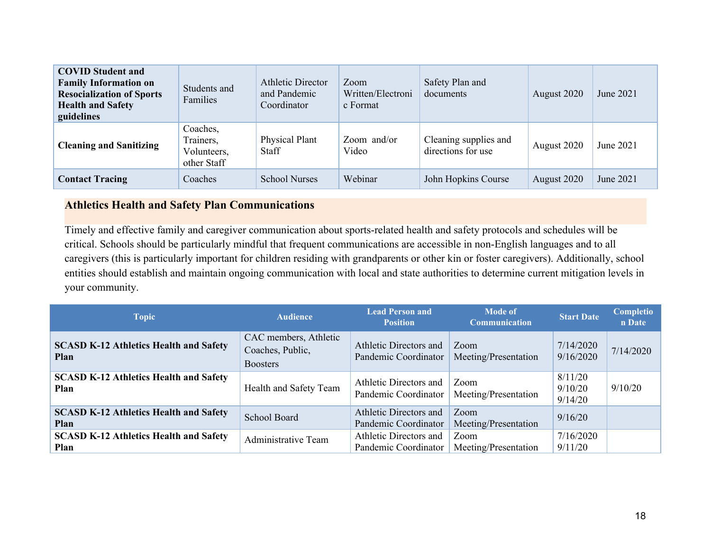| <b>COVID Student and</b><br><b>Family Information on</b><br><b>Resocialization of Sports</b><br><b>Health and Safety</b><br>guidelines | Students and<br>Families                            | <b>Athletic Director</b><br>and Pandemic<br>Coordinator | Zoom<br>Written/Electroni<br>c Format | Safety Plan and<br>documents                | August 2020 | June 2021 |
|----------------------------------------------------------------------------------------------------------------------------------------|-----------------------------------------------------|---------------------------------------------------------|---------------------------------------|---------------------------------------------|-------------|-----------|
| <b>Cleaning and Sanitizing</b>                                                                                                         | Coaches.<br>Trainers,<br>Volunteers,<br>other Staff | Physical Plant<br><b>Staff</b>                          | Zoom and/or<br>Video                  | Cleaning supplies and<br>directions for use | August 2020 | June 2021 |
| <b>Contact Tracing</b>                                                                                                                 | Coaches                                             | <b>School Nurses</b>                                    | Webinar                               | John Hopkins Course                         | August 2020 | June 2021 |

### **Athletics Health and Safety Plan Communications**

Timely and effective family and caregiver communication about sports-related health and safety protocols and schedules will be critical. Schools should be particularly mindful that frequent communications are accessible in non-English languages and to all caregivers (this is particularly important for children residing with grandparents or other kin or foster caregivers). Additionally, school entities should establish and maintain ongoing communication with local and state authorities to determine current mitigation levels in your community.

| <b>Topic</b>                                          | <b>Audience</b>                                              | <b>Lead Person and</b><br><b>Position</b>             | <b>Mode of</b><br><b>Communication</b> | <b>Start Date</b>             | <b>Completio</b><br>n Date |
|-------------------------------------------------------|--------------------------------------------------------------|-------------------------------------------------------|----------------------------------------|-------------------------------|----------------------------|
| <b>SCASD K-12 Athletics Health and Safety</b><br>Plan | CAC members, Athletic<br>Coaches, Public,<br><b>Boosters</b> | Athletic Directors and<br>Pandemic Coordinator        | Zoom<br>Meeting/Presentation           | 7/14/2020<br>9/16/2020        | 7/14/2020                  |
| <b>SCASD K-12 Athletics Health and Safety</b><br>Plan | Health and Safety Team                                       | Athletic Directors and<br>Pandemic Coordinator        | Zoom<br>Meeting/Presentation           | 8/11/20<br>9/10/20<br>9/14/20 | 9/10/20                    |
| <b>SCASD K-12 Athletics Health and Safety</b><br>Plan | School Board                                                 | <b>Athletic Directors and</b><br>Pandemic Coordinator | Zoom<br>Meeting/Presentation           | 9/16/20                       |                            |
| <b>SCASD K-12 Athletics Health and Safety</b><br>Plan | Administrative Team                                          | Athletic Directors and<br>Pandemic Coordinator        | Zoom<br>Meeting/Presentation           | 7/16/2020<br>9/11/20          |                            |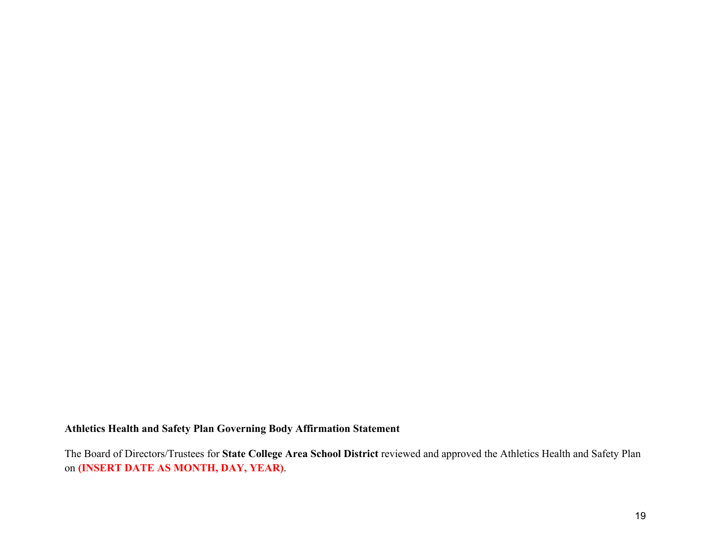#### **Athletics Health and Safety Plan Governing Body Affirmation Statement**

The Board of Directors/Trustees for **State College Area School District** reviewed and approved the Athletics Health and Safety Plan on **(INSERT DATE AS MONTH, DAY, YEAR)**.